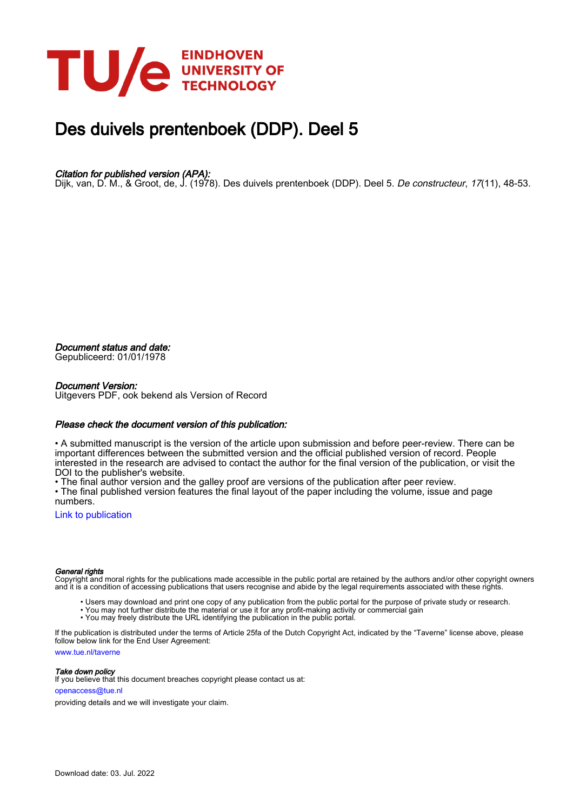

# Des duivels prentenboek (DDP). Deel 5

# Citation for published version (APA):

Dijk, van, D. M., & Groot, de, J. (1978). Des duivels prentenboek (DDP). Deel 5. De constructeur, 17(11), 48-53.

Document status and date:

Gepubliceerd: 01/01/1978

# Document Version:

Uitgevers PDF, ook bekend als Version of Record

# Please check the document version of this publication:

• A submitted manuscript is the version of the article upon submission and before peer-review. There can be important differences between the submitted version and the official published version of record. People interested in the research are advised to contact the author for the final version of the publication, or visit the DOI to the publisher's website.

• The final author version and the galley proof are versions of the publication after peer review.

• The final published version features the final layout of the paper including the volume, issue and page numbers.

[Link to publication](https://research.tue.nl/nl/publications/90c7f54a-18c6-4cf7-8f76-1ca5a985790f)

# General rights

Copyright and moral rights for the publications made accessible in the public portal are retained by the authors and/or other copyright owners and it is a condition of accessing publications that users recognise and abide by the legal requirements associated with these rights.

- Users may download and print one copy of any publication from the public portal for the purpose of private study or research.
- You may not further distribute the material or use it for any profit-making activity or commercial gain
- You may freely distribute the URL identifying the publication in the public portal.

If the publication is distributed under the terms of Article 25fa of the Dutch Copyright Act, indicated by the "Taverne" license above, please follow below link for the End User Agreement:

www.tue.nl/taverne

**Take down policy**<br>If you believe that this document breaches copyright please contact us at:

openaccess@tue.nl

providing details and we will investigate your claim.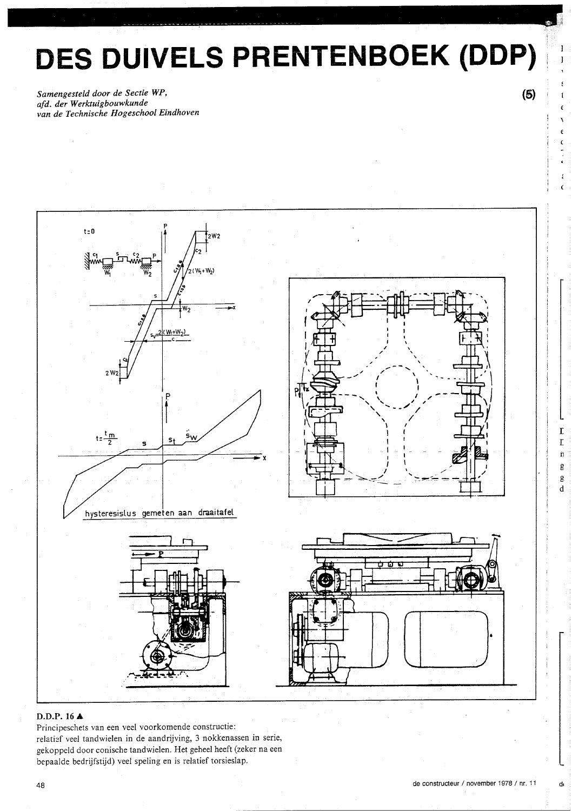# **DES DUIVELS PRENTENBOEK (DDP)**

Samengesteld door de Sectie WP, afd. der Werktuigbouwkunde van de Technische Hogeschool Eindhoven



# D.D.P. 16 A

Principeschets van een veel voorkomende constructie: relatief veel tandwielen in de aandrijving, 3 nokkenassen in serie, gekoppeld door conische tandwielen. Het geheel heeft (zeker na een bepaalde bedrijfstijd) veel speling en is relatief torsieslap.

 $(5)$ 

 $\epsilon$ 

 $\mathbf{r}$ 

 $\overline{L}$  $\ddot{\mathbf{n}}$  $\rm \dot g$ :g  $\tilde{\mathbf{d}}$ 

d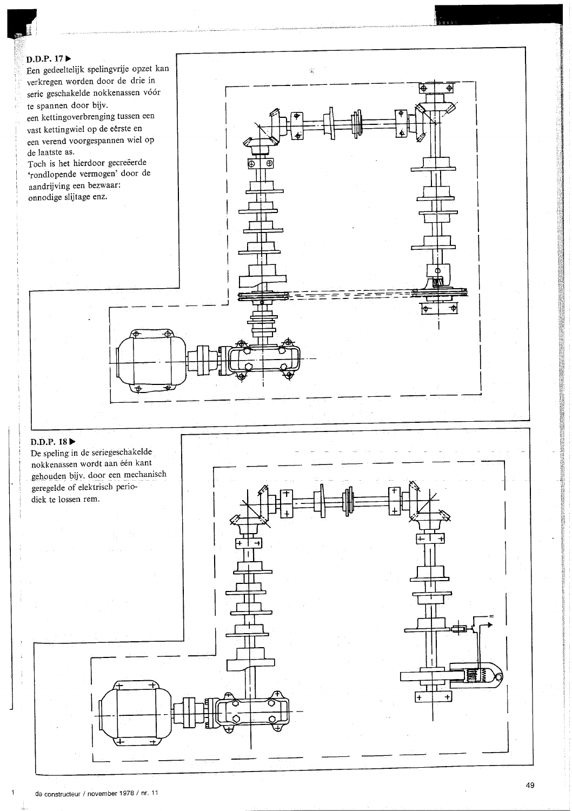# $D.D.P. 17$

Een gedeeltelijk spelingvrije opzet kan verkregen worden door de drie in serie geschakelde nokkenassen vóór te spannen door bijv.

een kettingoverbrenging tussen een vast kettingwiel op de eerste en een verend voorgespannen wiel op de laatste as.

Toch is het hierdoor gecreëerde 'rondlopende vermogen' door de aandrijving een bezwaar: onnodige slijtage enz.



De speling in de seriegeschakelde nokkenassen wordt aan één kant gehouden bijv. door een mechanisch geregelde of elektrisch periodiek te lossen rem.



á.

₩

Φ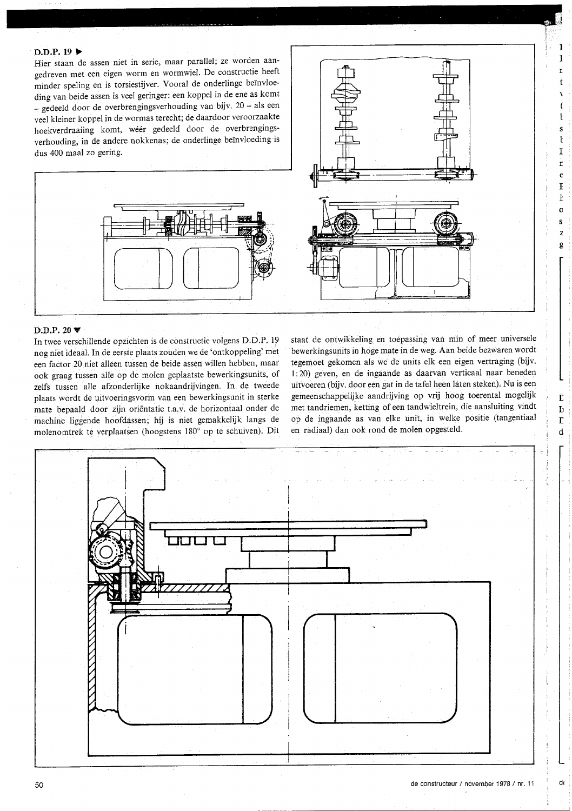# $D.D.P. 19$

Hier staan de assen niet in serie, maar parallel; ze worden aangedreven met een eigen worm en wormwiel. De constructie heeft minder speling en is torsiestijver. Vooral de onderlinge beïnvloeding van beide assen is veel geringer: een koppel in de ene as komt - gedeeld door de overbrengingsverhouding van bijv. 20 - als een veel kleiner koppel in de wormas terecht; de daardoor veroorzaakte hoekverdraaiing komt, wéér gedeeld door de overbrengingsverhouding, in de andere nokkenas; de onderlinge beïnvloeding is dus 400 maal zo gering.



ŀ

 $\mathbf{r}$ 

T  $\mathbf{r}$  $\epsilon$ F  $\mathbf{r}$  $\Omega$ 

Ë

 ${\bf L}$ 

 $\Gamma$ 

 $\rm d$ 

d.

# D.D.P. 20  $\blacktriangledown$

In twee verschillende opzichten is de constructie volgens D.D.P. 19 nog niet ideaal. In de eerste plaats zouden we de 'ontkoppeling' met een factor 20 niet alleen tussen de beide assen willen hebben, maar ook graag tussen alle op de molen geplaatste bewerkingsunits, of zelfs tussen alle afzonderlijke nokaandrijvingen. In de tweede plaats wordt de uitvoeringsvorm van een bewerkingsunit in sterke mate bepaald door zijn orientatie t.a.v. de horizontaal onder de machine liggende hoofdassen; hij is niet gemakkelijk langs de molenomtrek te verplaatsen (hoogstens 180° op te schuiven). Dit

staat de ontwikkeling en toepassing van min of meer universele bewerkingsunits in hoge mate in de weg. Aan beide bezwaren wordt tegemoet gekomen als we de units elk een eigen vertraging (bijv. 1:20) geven, en de ingaande as daarvan verticaal naar beneden uitvoeren (bijv. door een gat in de tafel heen laten steken). Nu is een gemeenschappelijke aandrijving op vrij hoog toerental mogelijk met tandriemen, ketting of een tandwieltrein, die aansluiting vindt op de ingaande as van elke unit, in welke positie (tangentiaal en radiaal) dan ook rond de molen opgesteld.

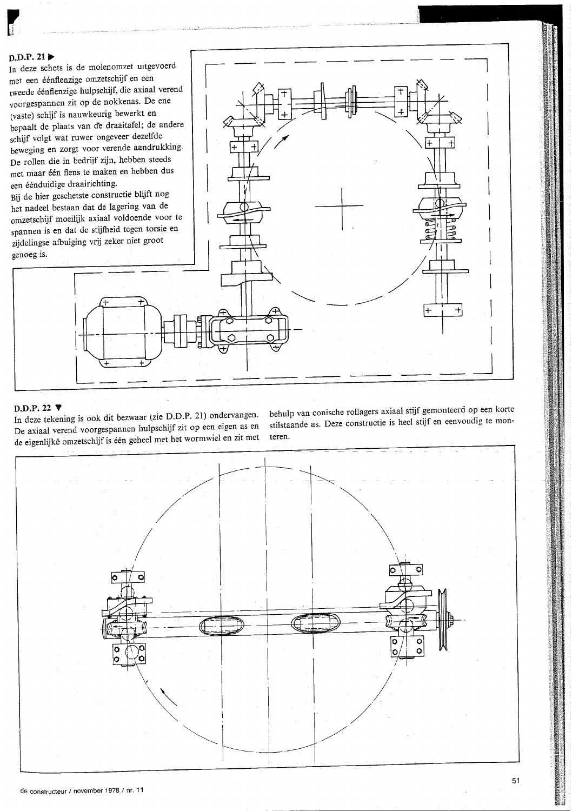

# $p.D.P. 21 \blacktriangleright$

In deze schets is de molenomzet uitgevoerd met een éénflenzige omzetschijf en een tweede éénflenzige hulpschijf, die axiaal verend voorgespannen zit op de nokkenas. De ene (vaste) schijf is nauwkeurig bewerkt en bepaalt de plaats van de draaitafel; de andere schijf volgt wat ruwer ongeveer dezelfde beweging en zorgt voor verende aandrukking. De rollen die in bedrijf zijn, hebben steeds met maar één flens te maken en hebben dus een éénduidige draairichting.

Bij de hier geschetste constructie blijft nog het nadeel bestaan dat de lagering van de omzetschijf moeilijk axiaal voldoende voor te spannen is en dat de stijfheid tegen torsie en zijdelingse afbuiging vrij zeker niet groot genoeg is.



# D.D.P. 22 ♥

In deze tekening is ook dit bezwaar (zie D.D.P. 21) ondervangen. De axiaal verend voorgespannen hulpschijf zit op een eigen as en de eigenlijke omzetschijf is één geheel met het wormwiel en zit met behulp van conische rollagers axiaal stijf gemonteerd op een korte stilstaande as. Deze constructie is heel stijf en eenvoudig te monteren.

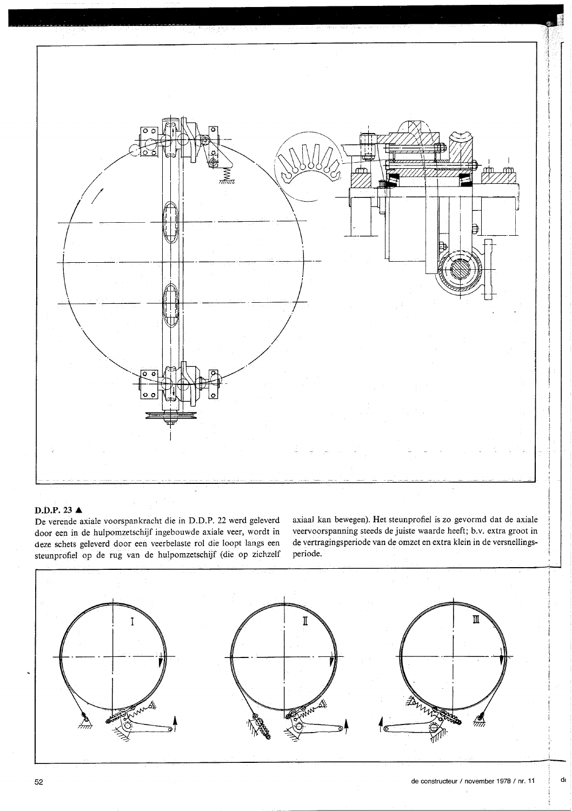

# D.D.P. 23 A

De verende axiale voorspankracht die in D.D.P. 22 werd geleverd door een in de hulpomzetschijf ingebouwde axiale veer, wordt in deze schets geleverd door een veerbelaste rol die loopt langs een steunprofiel op de rug van de hulpomzetschijf (die op zichzelf axiaal kan bewegen). Het steunprofiel is zo gevormd dat de axiale veervoorspanning steeds de juiste waarde heeft; b.v. extra groot in de vertragingsperiode van de omzet en extra klein in de versnellingsperiode.



 $\mathsf{d}\mathfrak{e}$